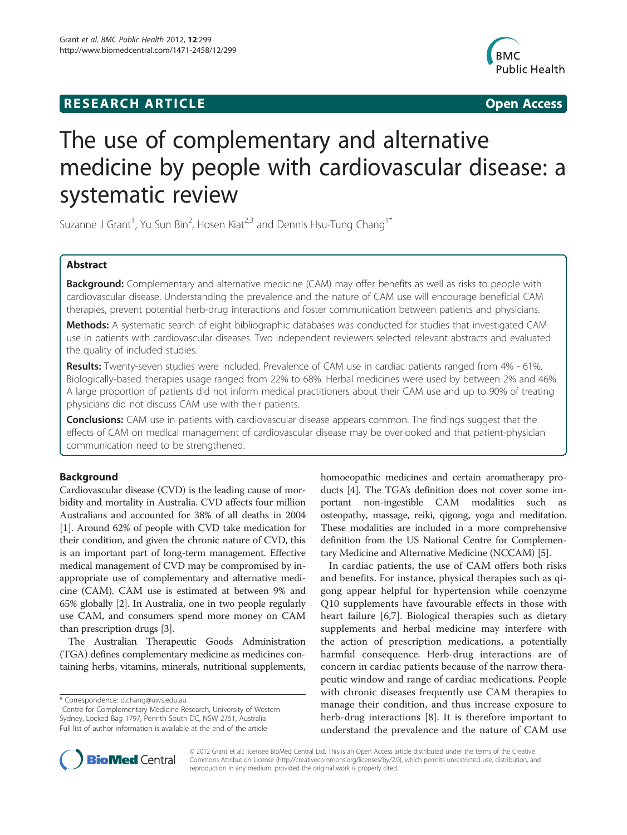# **RESEARCH ARTICLE Example 2014 CONSIDERING CONSIDERING CONSIDERING CONSIDERING CONSIDERING CONSIDERING CONSIDERING CONSIDERING CONSIDERING CONSIDERING CONSIDERING CONSIDERING CONSIDERING CONSIDERING CONSIDERING CONSIDE**



# The use of complementary and alternative medicine by people with cardiovascular disease: a systematic review

Suzanne J Grant<sup>1</sup>, Yu Sun Bin<sup>2</sup>, Hosen Kiat<sup>2,3</sup> and Dennis Hsu-Tung Chang<sup>1\*</sup>

# Abstract

Background: Complementary and alternative medicine (CAM) may offer benefits as well as risks to people with cardiovascular disease. Understanding the prevalence and the nature of CAM use will encourage beneficial CAM therapies, prevent potential herb-drug interactions and foster communication between patients and physicians.

Methods: A systematic search of eight bibliographic databases was conducted for studies that investigated CAM use in patients with cardiovascular diseases. Two independent reviewers selected relevant abstracts and evaluated the quality of included studies.

Results: Twenty-seven studies were included. Prevalence of CAM use in cardiac patients ranged from 4% - 61%. Biologically-based therapies usage ranged from 22% to 68%. Herbal medicines were used by between 2% and 46%. A large proportion of patients did not inform medical practitioners about their CAM use and up to 90% of treating physicians did not discuss CAM use with their patients.

**Conclusions:** CAM use in patients with cardiovascular disease appears common. The findings suggest that the effects of CAM on medical management of cardiovascular disease may be overlooked and that patient-physician communication need to be strengthened.

# Background

Cardiovascular disease (CVD) is the leading cause of morbidity and mortality in Australia. CVD affects four million Australians and accounted for 38% of all deaths in 2004 [[1\]](#page-7-0). Around 62% of people with CVD take medication for their condition, and given the chronic nature of CVD, this is an important part of long-term management. Effective medical management of CVD may be compromised by inappropriate use of complementary and alternative medicine (CAM). CAM use is estimated at between 9% and 65% globally [\[2](#page-7-0)]. In Australia, one in two people regularly use CAM, and consumers spend more money on CAM than prescription drugs [[3\]](#page-7-0).

The Australian Therapeutic Goods Administration (TGA) defines complementary medicine as medicines containing herbs, vitamins, minerals, nutritional supplements,

\* Correspondence: [d.chang@uws.edu.au](mailto:d.chang@uws.edu.au) <sup>1</sup>

<sup>1</sup> Centre for Complementary Medicine Research, University of Western Sydney, Locked Bag 1797, Penrith South DC, NSW 2751, Australia Full list of author information is available at the end of the article

homoeopathic medicines and certain aromatherapy products [\[4\]](#page-8-0). The TGA's definition does not cover some important non-ingestible CAM modalities such as osteopathy, massage, reiki, qigong, yoga and meditation. These modalities are included in a more comprehensive definition from the US National Centre for Complementary Medicine and Alternative Medicine (NCCAM) [\[5\]](#page-8-0).

In cardiac patients, the use of CAM offers both risks and benefits. For instance, physical therapies such as qigong appear helpful for hypertension while coenzyme Q10 supplements have favourable effects in those with heart failure [[6,7\]](#page-8-0). Biological therapies such as dietary supplements and herbal medicine may interfere with the action of prescription medications, a potentially harmful consequence. Herb-drug interactions are of concern in cardiac patients because of the narrow therapeutic window and range of cardiac medications. People with chronic diseases frequently use CAM therapies to manage their condition, and thus increase exposure to herb-drug interactions [[8\]](#page-8-0). It is therefore important to understand the prevalence and the nature of CAM use



© 2012 Grant et al.; licensee BioMed Central Ltd. This is an Open Access article distributed under the terms of the Creative Commons Attribution License (http://creativecommons.org/licenses/by/2.0), which permits unrestricted use, distribution, and reproduction in any medium, provided the original work is properly cited.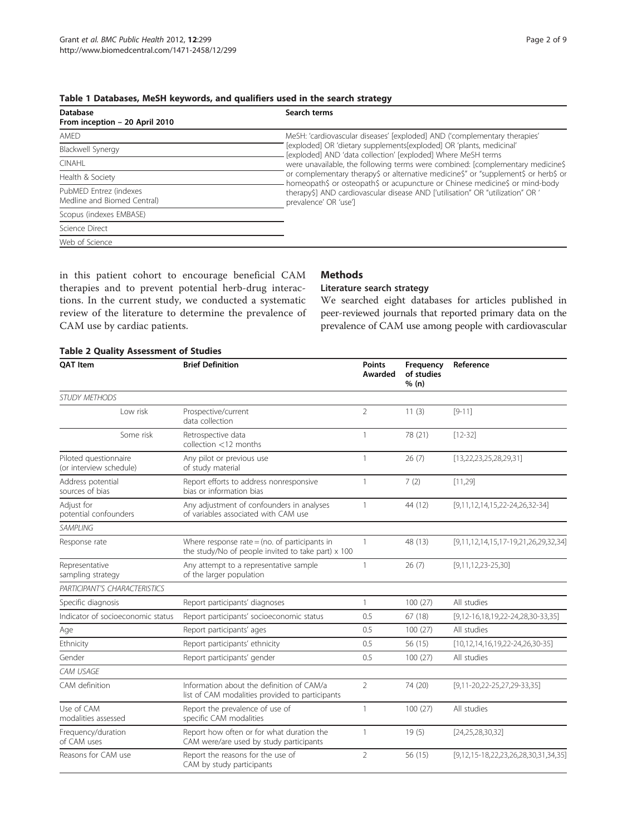### <span id="page-1-0"></span>Table 1 Databases, MeSH keywords, and qualifiers used in the search strategy

| <b>Database</b><br>From inception - 20 April 2010     | Search terms                                                                                                                                                        |
|-------------------------------------------------------|---------------------------------------------------------------------------------------------------------------------------------------------------------------------|
| AMED                                                  | MeSH: 'cardiovascular diseases' [exploded] AND ('complementary therapies'                                                                                           |
| Blackwell Synergy                                     | [exploded] OR 'dietary supplements[exploded] OR 'plants, medicinal'<br>[exploded] AND 'data collection' [exploded] Where MeSH terms                                 |
| <b>CINAHL</b>                                         | were unavailable, the following terms were combined: [complementary medicine\$                                                                                      |
| Health & Society                                      | or complementary therapy\$ or alternative medicine\$" or "supplement\$ or herb\$ or<br>homeopath\$ or osteopath\$ or acupuncture or Chinese medicine\$ or mind-body |
| PubMED Entrez (indexes<br>Medline and Biomed Central) | therapy\$] AND cardiovascular disease AND ['utilisation" OR "utilization" OR '<br>prevalence' OR 'use']                                                             |
| Scopus (indexes EMBASE)                               |                                                                                                                                                                     |
| Science Direct                                        |                                                                                                                                                                     |
| Web of Science                                        |                                                                                                                                                                     |

in this patient cohort to encourage beneficial CAM therapies and to prevent potential herb-drug interactions. In the current study, we conducted a systematic review of the literature to determine the prevalence of CAM use by cardiac patients.

# Methods

# Literature search strategy

We searched eight databases for articles published in peer-reviewed journals that reported primary data on the prevalence of CAM use among people with cardiovascular

# Table 2 Quality Assessment of Studies

| <b>OAT Item</b>                                  | <b>Brief Definition</b>                                                                               | <b>Points</b><br>Awarded | Frequency<br>of studies<br>% (n) | Reference                                        |  |
|--------------------------------------------------|-------------------------------------------------------------------------------------------------------|--------------------------|----------------------------------|--------------------------------------------------|--|
| <b>STUDY METHODS</b>                             |                                                                                                       |                          |                                  |                                                  |  |
| Low risk                                         | Prospective/current<br>data collection                                                                | $\overline{2}$           | 11(3)                            | $[9-11]$                                         |  |
| Some risk                                        | Retrospective data<br>collection $<$ 12 months                                                        | $\mathbf{1}$             | 78 (21)                          | $[12-32]$                                        |  |
| Piloted questionnaire<br>(or interview schedule) | Any pilot or previous use<br>of study material                                                        | $\mathbf{1}$             | 26(7)                            | [13, 22, 23, 25, 28, 29, 31]                     |  |
| Address potential<br>sources of bias             | Report efforts to address nonresponsive<br>bias or information bias                                   | $\mathbf{1}$             | 7(2)                             | [11, 29]                                         |  |
| Adjust for<br>potential confounders              | Any adjustment of confounders in analyses<br>of variables associated with CAM use                     | $\mathbf{1}$             | 44 (12)                          | $[9,11,12,14,15,22-24,26,32-34]$                 |  |
| <b>SAMPI ING</b>                                 |                                                                                                       |                          |                                  |                                                  |  |
| Response rate                                    | Where response rate $=$ (no. of participants in<br>the study/No of people invited to take part) x 100 | $\mathbf{1}$             | 48 (13)                          | $[9,11,12,14,15,17-19,21,26,29,32,34]$           |  |
| Representative<br>sampling strategy              | Any attempt to a representative sample<br>of the larger population                                    | $\mathbf{1}$             | 26(7)                            | $[9,11,12,23-25,30]$                             |  |
| PARTICIPANT'S CHARACTERISTICS                    |                                                                                                       |                          |                                  |                                                  |  |
| Specific diagnosis                               | Report participants' diagnoses                                                                        | $\mathbf{1}$             | 100(27)                          | All studies                                      |  |
| Indicator of socioeconomic status                | Report participants' socioeconomic status                                                             | 0.5                      | 67(18)                           | $[9, 12 - 16, 18, 19, 22 - 24, 28, 30 - 33, 35]$ |  |
| Age                                              | Report participants' ages                                                                             | 0.5                      | 100(27)                          | All studies                                      |  |
| Ethnicity                                        | Report participants' ethnicity                                                                        | 0.5                      | 56 (15)                          | $[10, 12, 14, 16, 19, 22 - 24, 26, 30 - 35]$     |  |
| Gender                                           | Report participants' gender                                                                           | 0.5                      | 100(27)                          | All studies                                      |  |
| CAM USAGE                                        |                                                                                                       |                          |                                  |                                                  |  |
| CAM definition                                   | Information about the definition of CAM/a<br>list of CAM modalities provided to participants          | $\overline{2}$           | 74 (20)                          | $[9,11-20,22-25,27,29-33,35]$                    |  |
| Use of CAM<br>modalities assessed                | Report the prevalence of use of<br>specific CAM modalities                                            | $\mathbf{1}$             | 100(27)                          | All studies                                      |  |
| Frequency/duration<br>of CAM uses                | Report how often or for what duration the<br>CAM were/are used by study participants                  | $\mathbf{1}$             | 19(5)                            | [24, 25, 28, 30, 32]                             |  |
| Reasons for CAM use                              | Report the reasons for the use of<br>CAM by study participants                                        | $\overline{2}$           | 56 (15)                          | $[9,12,15-18,22,23,26,28,30,31,34,35]$           |  |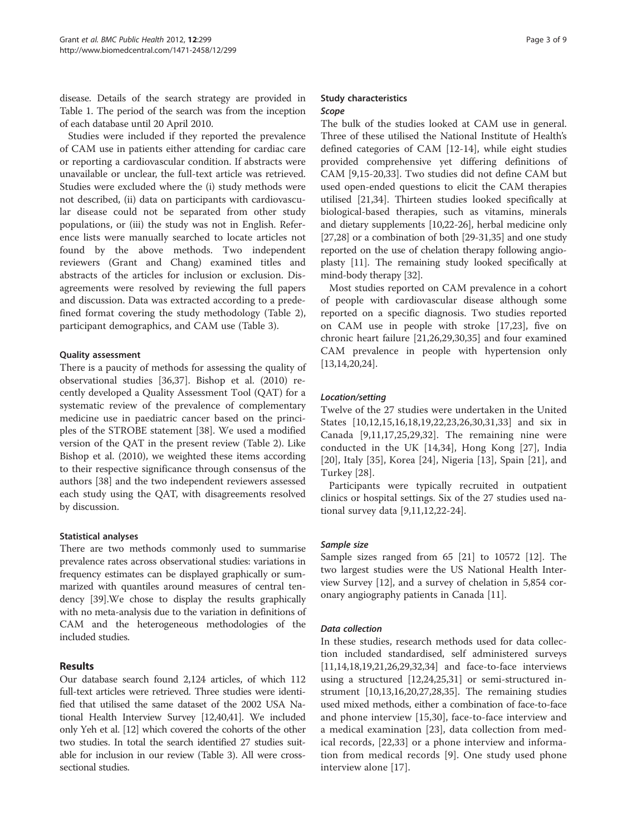disease. Details of the search strategy are provided in Table [1](#page-1-0). The period of the search was from the inception of each database until 20 April 2010.

Studies were included if they reported the prevalence of CAM use in patients either attending for cardiac care or reporting a cardiovascular condition. If abstracts were unavailable or unclear, the full-text article was retrieved. Studies were excluded where the (i) study methods were not described, (ii) data on participants with cardiovascular disease could not be separated from other study populations, or (iii) the study was not in English. Reference lists were manually searched to locate articles not found by the above methods. Two independent reviewers (Grant and Chang) examined titles and abstracts of the articles for inclusion or exclusion. Disagreements were resolved by reviewing the full papers and discussion. Data was extracted according to a predefined format covering the study methodology (Table [2](#page-1-0)), participant demographics, and CAM use (Table [3\)](#page-3-0).

# Quality assessment

There is a paucity of methods for assessing the quality of observational studies [[36,37](#page-8-0)]. Bishop et al. (2010) recently developed a Quality Assessment Tool (QAT) for a systematic review of the prevalence of complementary medicine use in paediatric cancer based on the principles of the STROBE statement [\[38](#page-8-0)]. We used a modified version of the QAT in the present review (Table [2\)](#page-1-0). Like Bishop et al. (2010), we weighted these items according to their respective significance through consensus of the authors [[38](#page-8-0)] and the two independent reviewers assessed each study using the QAT, with disagreements resolved by discussion.

#### Statistical analyses

There are two methods commonly used to summarise prevalence rates across observational studies: variations in frequency estimates can be displayed graphically or summarized with quantiles around measures of central tendency [[39](#page-8-0)].We chose to display the results graphically with no meta-analysis due to the variation in definitions of CAM and the heterogeneous methodologies of the included studies.

#### Results

Our database search found 2,124 articles, of which 112 full-text articles were retrieved. Three studies were identified that utilised the same dataset of the 2002 USA National Health Interview Survey [\[12,40,41\]](#page-8-0). We included only Yeh et al. [[12](#page-8-0)] which covered the cohorts of the other two studies. In total the search identified 27 studies suitable for inclusion in our review (Table [3\)](#page-3-0). All were crosssectional studies.

#### Study characteristics Scope

The bulk of the studies looked at CAM use in general. Three of these utilised the National Institute of Health's defined categories of CAM [[12-14](#page-8-0)], while eight studies provided comprehensive yet differing definitions of CAM [\[9,15-20](#page-8-0),[33](#page-8-0)]. Two studies did not define CAM but used open-ended questions to elicit the CAM therapies utilised [[21,34](#page-8-0)]. Thirteen studies looked specifically at biological-based therapies, such as vitamins, minerals and dietary supplements [\[10,22-26\]](#page-8-0), herbal medicine only [[27,28](#page-8-0)] or a combination of both [[29-31,35](#page-8-0)] and one study reported on the use of chelation therapy following angioplasty [\[11\]](#page-8-0). The remaining study looked specifically at mind-body therapy [[32](#page-8-0)].

Most studies reported on CAM prevalence in a cohort of people with cardiovascular disease although some reported on a specific diagnosis. Two studies reported on CAM use in people with stroke [[17](#page-8-0),[23](#page-8-0)], five on chronic heart failure [[21,26,29,30,35\]](#page-8-0) and four examined CAM prevalence in people with hypertension only [[13,14,20,24\]](#page-8-0).

#### Location/setting

Twelve of the 27 studies were undertaken in the United States [\[10](#page-8-0),[12,15,16,18](#page-8-0),[19,22,23,26](#page-8-0),[30,31,33](#page-8-0)] and six in Canada [\[9](#page-8-0),[11,17,25,29](#page-8-0),[32\]](#page-8-0). The remaining nine were conducted in the UK [\[14,34](#page-8-0)], Hong Kong [[27](#page-8-0)], India [[20](#page-8-0)], Italy [\[35](#page-8-0)], Korea [[24](#page-8-0)], Nigeria [[13\]](#page-8-0), Spain [[21\]](#page-8-0), and Turkey [\[28\]](#page-8-0).

Participants were typically recruited in outpatient clinics or hospital settings. Six of the 27 studies used national survey data [\[9](#page-8-0),[11](#page-8-0),[12,22](#page-8-0)-[24\]](#page-8-0).

#### Sample size

Sample sizes ranged from 65 [[21](#page-8-0)] to 10572 [\[12](#page-8-0)]. The two largest studies were the US National Health Interview Survey [\[12](#page-8-0)], and a survey of chelation in 5,854 coronary angiography patients in Canada [\[11\]](#page-8-0).

#### Data collection

In these studies, research methods used for data collection included standardised, self administered surveys [[11,14,18,19,21,26,29](#page-8-0),[32](#page-8-0),[34](#page-8-0)] and face-to-face interviews using a structured [[12,24,25,31](#page-8-0)] or semi-structured instrument [\[10,13,16,20,27,28,35\]](#page-8-0). The remaining studies used mixed methods, either a combination of face-to-face and phone interview [[15,30](#page-8-0)], face-to-face interview and a medical examination [[23\]](#page-8-0), data collection from medical records, [[22,33\]](#page-8-0) or a phone interview and information from medical records [[9\]](#page-8-0). One study used phone interview alone [\[17](#page-8-0)].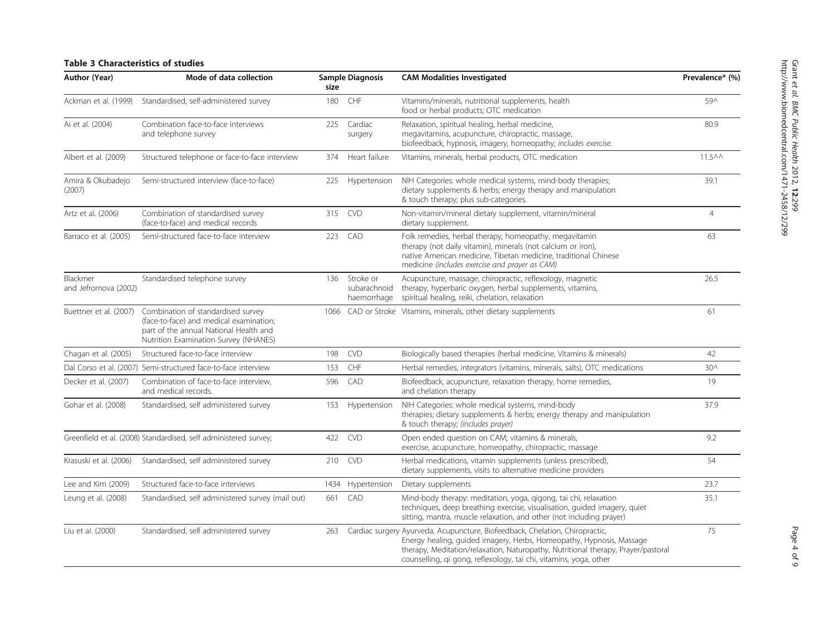<span id="page-3-0"></span>

| Author (Year)                    | Mode of data collection                                                                                                                                          | size | <b>Sample Diagnosis</b>                  | <b>CAM Modalities Investigated</b>                                                                                                                                                                                                                                                                             | Prevalence* (%)    |
|----------------------------------|------------------------------------------------------------------------------------------------------------------------------------------------------------------|------|------------------------------------------|----------------------------------------------------------------------------------------------------------------------------------------------------------------------------------------------------------------------------------------------------------------------------------------------------------------|--------------------|
| Ackman et al. (1999)             | Standardised, self-administered survey                                                                                                                           | 180  | CHF                                      | Vitamins/minerals, nutritional supplements, health<br>food or herbal products; OTC medication                                                                                                                                                                                                                  | 59^                |
| Ai et al. (2004)                 | Combination face-to-face interviews<br>and telephone survey                                                                                                      | 225  | Cardiac<br>surgery                       | Relaxation, spiritual healing, herbal medicine,<br>megavitamins, acupuncture, chiropractic, massage,<br>biofeedback, hypnosis, imagery, homeopathy; includes exercise.                                                                                                                                         | 80.9               |
| Albert et al. (2009)             | Structured telephone or face-to-face interview                                                                                                                   | 374  | Heart failure                            | Vitamins, minerals, herbal products, OTC medication                                                                                                                                                                                                                                                            | 11.5 <sub>AA</sub> |
| Amira & Okubadejo<br>(2007)      | Semi-structured interview (face-to-face)                                                                                                                         | 225  | Hypertension                             | NIH Categories: whole medical systems, mind-body therapies;<br>dietary supplements & herbs; energy therapy and manipulation<br>& touch therapy; plus sub-categories.                                                                                                                                           | 39.1               |
| Artz et al. (2006)               | Combination of standardised survey<br>(face-to-face) and medical records                                                                                         | 315  | <b>CVD</b>                               | Non-vitamin/mineral dietary supplement, vitamin/mineral<br>dietary supplement.                                                                                                                                                                                                                                 | $\overline{4}$     |
| Barraco et al. (2005)            | Semi-structured face-to-face interview                                                                                                                           | 223  | CAD                                      | Folk remedies, herbal therapy, homeopathy, megavitamin<br>therapy (not daily vitamin), minerals (not calcium or iron),<br>native American medicine, Tibetan medicine, traditional Chinese<br>medicine (includes exercise and prayer as CAM)                                                                    | 63                 |
| Blackmer<br>and Jefromova (2002) | Standardised telephone survey                                                                                                                                    | 136  | Stroke or<br>subarachnoid<br>haemorrhage | Acupuncture, massage, chiropractic, reflexology, magnetic<br>therapy, hyperbaric oxygen, herbal supplements, vitamins,<br>spiritual healing, reiki, chelation, relaxation                                                                                                                                      | 26.5               |
| Buettner et al. (2007)           | Combination of standardised survey<br>(face-to-face) and medical examination;<br>part of the annual National Health and<br>Nutrition Examination Survey (NHANES) |      |                                          | 1066 CAD or Stroke Vitamins, minerals, other dietary supplements                                                                                                                                                                                                                                               | 61                 |
| Chagan et al. (2005)             | Structured face-to-face interview                                                                                                                                | 198  | <b>CVD</b>                               | Biologically based therapies (herbal medicine, Vitamins & minerals)                                                                                                                                                                                                                                            | 42                 |
| Dal Corso et al. (2007)          | Semi-structured face-to-face interview                                                                                                                           | 153  | CHF                                      | Herbal remedies, integrators (vitamins, minerals, salts), OTC medications                                                                                                                                                                                                                                      | $30^$              |
| Decker et al. (2007)             | Combination of face-to-face interview,<br>and medical records.                                                                                                   | 596  | CAD                                      | Biofeedback, acupuncture, relaxation therapy, home remedies,<br>and chelation therapy                                                                                                                                                                                                                          | 19                 |
| Gohar et al. (2008)              | Standardised, self administered survey                                                                                                                           | 153  | Hypertension                             | NIH Categories: whole medical systems, mind-body<br>therapies; dietary supplements & herbs; energy therapy and manipulation<br>& touch therapy; (includes prayer)                                                                                                                                              | 37.9               |
|                                  | Greenfield et al. (2008) Standardised, self administered survey;                                                                                                 |      | 422 CVD                                  | Open ended question on CAM; vitamins & minerals,<br>exercise, acupuncture, homeopathy, chiropractic, massage                                                                                                                                                                                                   | 9.2                |
| Krasuski et al. (2006)           | Standardised, self administered survey                                                                                                                           | 210  | <b>CVD</b>                               | Herbal medications, vitamin supplements (unless prescribed),<br>dietary supplements, visits to alternative medicine providers                                                                                                                                                                                  | 54                 |
| Lee and Kim (2009)               | Structured face-to-face interviews                                                                                                                               | 1434 | Hypertension                             | Dietary supplements                                                                                                                                                                                                                                                                                            | 23.7               |
| Leung et al. (2008)              | Standardised, self administered survey (mail out)                                                                                                                | 661  | CAD                                      | Mind-body therapy: meditation, yoga, qigong, tai chi, relaxation<br>techniques, deep breathing exercise, visualisation, guided imagery, quiet<br>sitting, mantra, muscle relaxation, and other (not including prayer)                                                                                          | 35.1               |
| Liu et al. (2000)                | Standardised, self administered survey                                                                                                                           | 263  |                                          | Cardiac surgery Ayurveda, Acupuncture, Biofeedback, Chelation, Chiropractic,<br>Energy healing, guided imagery, Herbs, Homeopathy, Hypnosis, Massage<br>therapy, Meditation/relaxation, Naturopathy, Nutritional therapy, Prayer/pastoral<br>counselling, qi gong, reflexology, tai chi, vitamins, yoga, other | 75                 |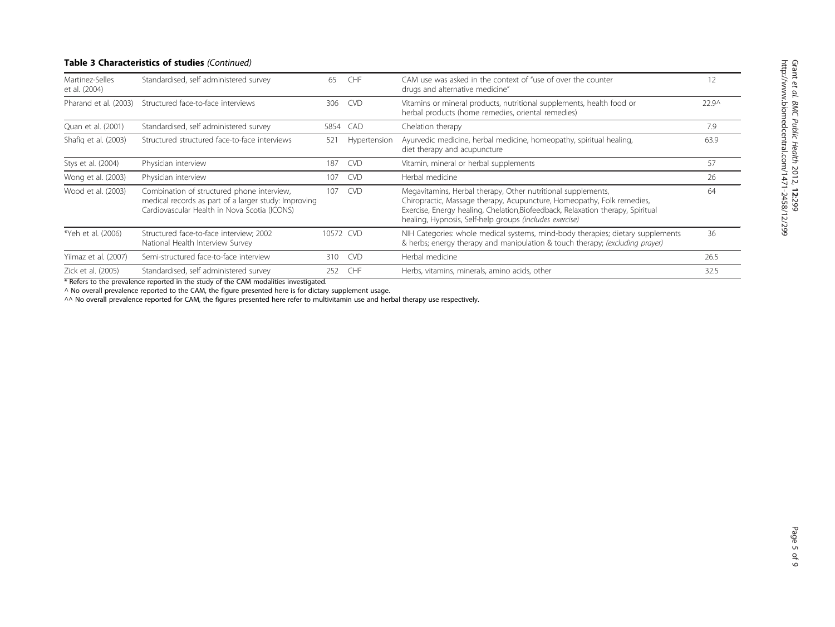#### Table 3 Characteristics of studies (Continued)

| Martinez-Selles<br>et al. (2004) | Standardised, self administered survey                                                                                                             | 65        | CHF          | CAM use was asked in the context of "use of over the counter<br>drugs and alternative medicine"                                                                                                                                                                                      |       |
|----------------------------------|----------------------------------------------------------------------------------------------------------------------------------------------------|-----------|--------------|--------------------------------------------------------------------------------------------------------------------------------------------------------------------------------------------------------------------------------------------------------------------------------------|-------|
| Pharand et al. (2003)            | Structured face-to-face interviews                                                                                                                 | 306       | <b>CVD</b>   | Vitamins or mineral products, nutritional supplements, health food or<br>herbal products (home remedies, oriental remedies)                                                                                                                                                          | 22.9^ |
| Quan et al. (2001)               | Standardised, self administered survey                                                                                                             | 5854      | CAD          | Chelation therapy                                                                                                                                                                                                                                                                    | 7.9   |
| Shafig et al. (2003)             | Structured structured face-to-face interviews                                                                                                      | 521       | Hypertension | Ayurvedic medicine, herbal medicine, homeopathy, spiritual healing,<br>diet therapy and acupuncture                                                                                                                                                                                  | 63.9  |
| Stys et al. (2004)               | Physician interview                                                                                                                                | 187       | <b>CVD</b>   | Vitamin, mineral or herbal supplements                                                                                                                                                                                                                                               | 57    |
| Wong et al. (2003)               | Physician interview                                                                                                                                | 107       | <b>CVD</b>   | Herbal medicine                                                                                                                                                                                                                                                                      | 26    |
| Wood et al. (2003)               | Combination of structured phone interview,<br>medical records as part of a larger study: Improving<br>Cardiovascular Health in Nova Scotia (ICONS) | 107       | <b>CVD</b>   | Megavitamins, Herbal therapy, Other nutritional supplements,<br>Chiropractic, Massage therapy, Acupuncture, Homeopathy, Folk remedies,<br>Exercise, Energy healing, Chelation, Biofeedback, Relaxation therapy, Spiritual<br>healing, Hypnosis, Self-help groups (includes exercise) | 64    |
| *Yeh et al. (2006)               | Structured face-to-face interview; 2002<br>National Health Interview Survey                                                                        | 10572 CVD |              | NIH Categories: whole medical systems, mind-body therapies; dietary supplements<br>& herbs; energy therapy and manipulation & touch therapy; (excluding prayer)                                                                                                                      | 36    |
| Yilmaz et al. (2007)             | Semi-structured face-to-face interview                                                                                                             | 310       | <b>CVD</b>   | Herbal medicine                                                                                                                                                                                                                                                                      | 26.5  |
| Zick et al. (2005)               | Standardised, self administered survey                                                                                                             | 252       | <b>CHF</b>   | Herbs, vitamins, minerals, amino acids, other                                                                                                                                                                                                                                        | 32.5  |

\* Refers to the prevalence reported in the study of the CAM modalities investigated.

^ No overall prevalence reported to the CAM, the figure presented here is for dictary supplement usage.

^^ No overall prevalence reported for CAM, the figures presented here refer to multivitamin use and herbal therapy use respectively.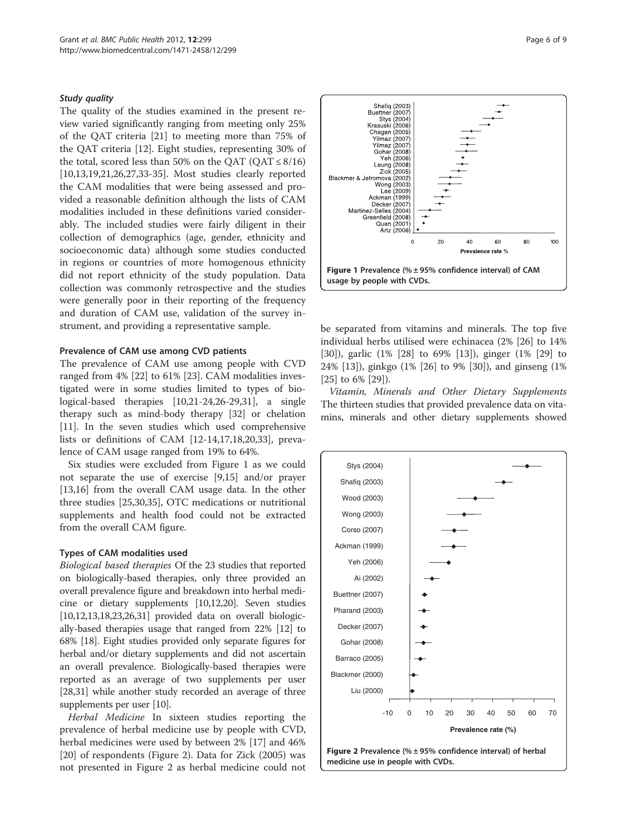#### Study quality

The quality of the studies examined in the present review varied significantly ranging from meeting only 25% of the QAT criteria [\[21](#page-8-0)] to meeting more than 75% of the QAT criteria [\[12](#page-8-0)]. Eight studies, representing 30% of the total, scored less than 50% on the OAT ( $OAT \leq 8/16$ ) [[10,13,19,21,26,27](#page-8-0),[33](#page-8-0)-[35\]](#page-8-0). Most studies clearly reported the CAM modalities that were being assessed and provided a reasonable definition although the lists of CAM modalities included in these definitions varied considerably. The included studies were fairly diligent in their collection of demographics (age, gender, ethnicity and socioeconomic data) although some studies conducted in regions or countries of more homogenous ethnicity did not report ethnicity of the study population. Data collection was commonly retrospective and the studies were generally poor in their reporting of the frequency and duration of CAM use, validation of the survey instrument, and providing a representative sample.

#### Prevalence of CAM use among CVD patients

The prevalence of CAM use among people with CVD ranged from 4% [[22\]](#page-8-0) to 61% [[23](#page-8-0)]. CAM modalities investigated were in some studies limited to types of biological-based therapies [\[10,21-24](#page-8-0),[26](#page-8-0)-[29,31\]](#page-8-0), a single therapy such as mind-body therapy [\[32](#page-8-0)] or chelation [[11\]](#page-8-0). In the seven studies which used comprehensive lists or definitions of CAM [\[12](#page-8-0)-[14,17,18,20](#page-8-0),[33](#page-8-0)], prevalence of CAM usage ranged from 19% to 64%.

Six studies were excluded from Figure 1 as we could not separate the use of exercise [\[9](#page-8-0),[15](#page-8-0)] and/or prayer [[13,16\]](#page-8-0) from the overall CAM usage data. In the other three studies [[25,30,35\]](#page-8-0), OTC medications or nutritional supplements and health food could not be extracted from the overall CAM figure.

#### Types of CAM modalities used

Biological based therapies Of the 23 studies that reported on biologically-based therapies, only three provided an overall prevalence figure and breakdown into herbal medicine or dietary supplements [\[10,12,20](#page-8-0)]. Seven studies [[10,12,13,18,23,26,31](#page-8-0)] provided data on overall biologically-based therapies usage that ranged from 22% [\[12](#page-8-0)] to 68% [[18](#page-8-0)]. Eight studies provided only separate figures for herbal and/or dietary supplements and did not ascertain an overall prevalence. Biologically-based therapies were reported as an average of two supplements per user [[28,31](#page-8-0)] while another study recorded an average of three supplements per user [\[10\]](#page-8-0).

Herbal Medicine In sixteen studies reporting the prevalence of herbal medicine use by people with CVD, herbal medicines were used by between 2% [[17\]](#page-8-0) and 46% [[20\]](#page-8-0) of respondents (Figure 2). Data for Zick (2005) was not presented in Figure 2 as herbal medicine could not



be separated from vitamins and minerals. The top five individual herbs utilised were echinacea (2% [\[26\]](#page-8-0) to 14% [[30\]](#page-8-0)), garlic (1% [[28\]](#page-8-0) to 69% [\[13](#page-8-0)]), ginger (1% [[29](#page-8-0)] to 24% [\[13\]](#page-8-0)), ginkgo (1% [\[26](#page-8-0)] to 9% [[30\]](#page-8-0)), and ginseng (1% [[25\]](#page-8-0) to 6% [[29\]](#page-8-0)).

Vitamin, Minerals and Other Dietary Supplements The thirteen studies that provided prevalence data on vitamins, minerals and other dietary supplements showed

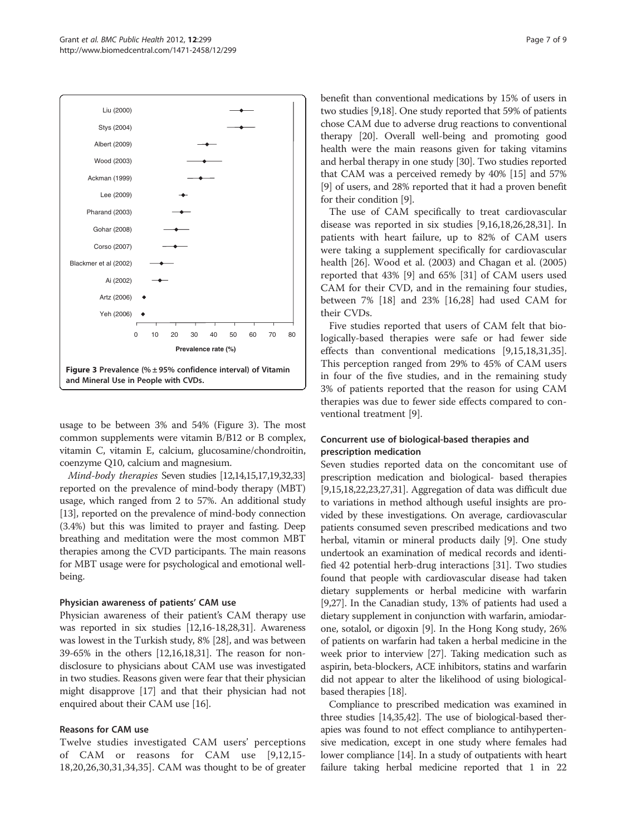

usage to be between 3% and 54% (Figure 3). The most common supplements were vitamin B/B12 or B complex, vitamin C, vitamin E, calcium, glucosamine/chondroitin, coenzyme Q10, calcium and magnesium.

Mind-body therapies Seven studies [[12,14,15,17,19,32,33](#page-8-0)] reported on the prevalence of mind-body therapy (MBT) usage, which ranged from 2 to 57%. An additional study [[13](#page-8-0)], reported on the prevalence of mind-body connection (3.4%) but this was limited to prayer and fasting. Deep breathing and meditation were the most common MBT therapies among the CVD participants. The main reasons for MBT usage were for psychological and emotional wellbeing.

#### Physician awareness of patients' CAM use

Physician awareness of their patient's CAM therapy use was reported in six studies [[12](#page-8-0),[16](#page-8-0)-[18,28,31\]](#page-8-0). Awareness was lowest in the Turkish study, 8% [\[28\]](#page-8-0), and was between 39-65% in the others [\[12,16,18,31\]](#page-8-0). The reason for nondisclosure to physicians about CAM use was investigated in two studies. Reasons given were fear that their physician might disapprove [[17](#page-8-0)] and that their physician had not enquired about their CAM use [[16](#page-8-0)].

#### Reasons for CAM use

Twelve studies investigated CAM users' perceptions of CAM or reasons for CAM use [[9,12,15-](#page-8-0) [18,20](#page-8-0),[26,30,31](#page-8-0),[34,35](#page-8-0)]. CAM was thought to be of greater benefit than conventional medications by 15% of users in two studies [\[9,18\]](#page-8-0). One study reported that 59% of patients chose CAM due to adverse drug reactions to conventional therapy [\[20\]](#page-8-0). Overall well-being and promoting good health were the main reasons given for taking vitamins and herbal therapy in one study [\[30\]](#page-8-0). Two studies reported that CAM was a perceived remedy by 40% [\[15](#page-8-0)] and 57% [[9\]](#page-8-0) of users, and 28% reported that it had a proven benefit for their condition [[9\]](#page-8-0).

The use of CAM specifically to treat cardiovascular disease was reported in six studies [\[9,16,18,26,28,31\]](#page-8-0). In patients with heart failure, up to 82% of CAM users were taking a supplement specifically for cardiovascular health [\[26](#page-8-0)]. Wood et al. (2003) and Chagan et al. (2005) reported that 43% [\[9](#page-8-0)] and 65% [\[31](#page-8-0)] of CAM users used CAM for their CVD, and in the remaining four studies, between 7% [\[18\]](#page-8-0) and 23% [[16,28](#page-8-0)] had used CAM for their CVDs.

Five studies reported that users of CAM felt that biologically-based therapies were safe or had fewer side effects than conventional medications [\[9](#page-8-0),[15](#page-8-0),[18,31,35](#page-8-0)]. This perception ranged from 29% to 45% of CAM users in four of the five studies, and in the remaining study 3% of patients reported that the reason for using CAM therapies was due to fewer side effects compared to conventional treatment [\[9](#page-8-0)].

# Concurrent use of biological-based therapies and prescription medication

Seven studies reported data on the concomitant use of prescription medication and biological- based therapies [[9,15,18,22,23,27,31\]](#page-8-0). Aggregation of data was difficult due to variations in method although useful insights are provided by these investigations. On average, cardiovascular patients consumed seven prescribed medications and two herbal, vitamin or mineral products daily [[9\]](#page-8-0). One study undertook an examination of medical records and identified 42 potential herb-drug interactions [\[31\]](#page-8-0). Two studies found that people with cardiovascular disease had taken dietary supplements or herbal medicine with warfarin [[9,27](#page-8-0)]. In the Canadian study, 13% of patients had used a dietary supplement in conjunction with warfarin, amiodarone, sotalol, or digoxin [\[9\]](#page-8-0). In the Hong Kong study, 26% of patients on warfarin had taken a herbal medicine in the week prior to interview [\[27\]](#page-8-0). Taking medication such as aspirin, beta-blockers, ACE inhibitors, statins and warfarin did not appear to alter the likelihood of using biologicalbased therapies [[18](#page-8-0)].

Compliance to prescribed medication was examined in three studies [[14,35,42](#page-8-0)]. The use of biological-based therapies was found to not effect compliance to antihypertensive medication, except in one study where females had lower compliance [\[14\]](#page-8-0). In a study of outpatients with heart failure taking herbal medicine reported that 1 in 22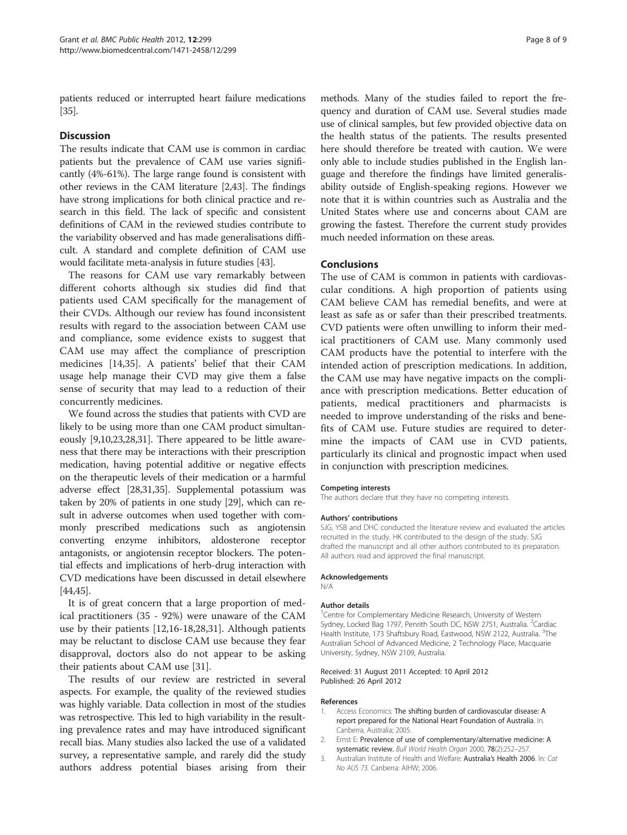<span id="page-7-0"></span>patients reduced or interrupted heart failure medications [[35](#page-8-0)].

# **Discussion**

The results indicate that CAM use is common in cardiac patients but the prevalence of CAM use varies significantly (4%-61%). The large range found is consistent with other reviews in the CAM literature [2[,43\]](#page-8-0). The findings have strong implications for both clinical practice and research in this field. The lack of specific and consistent definitions of CAM in the reviewed studies contribute to the variability observed and has made generalisations difficult. A standard and complete definition of CAM use would facilitate meta-analysis in future studies [[43](#page-8-0)].

The reasons for CAM use vary remarkably between different cohorts although six studies did find that patients used CAM specifically for the management of their CVDs. Although our review has found inconsistent results with regard to the association between CAM use and compliance, some evidence exists to suggest that CAM use may affect the compliance of prescription medicines [[14](#page-8-0),[35](#page-8-0)]. A patients' belief that their CAM usage help manage their CVD may give them a false sense of security that may lead to a reduction of their concurrently medicines.

We found across the studies that patients with CVD are likely to be using more than one CAM product simultaneously [[9,10,23,28](#page-8-0),[31](#page-8-0)]. There appeared to be little awareness that there may be interactions with their prescription medication, having potential additive or negative effects on the therapeutic levels of their medication or a harmful adverse effect [\[28,31,35](#page-8-0)]. Supplemental potassium was taken by 20% of patients in one study [[29](#page-8-0)], which can result in adverse outcomes when used together with commonly prescribed medications such as angiotensin converting enzyme inhibitors, aldosterone receptor antagonists, or angiotensin receptor blockers. The potential effects and implications of herb-drug interaction with CVD medications have been discussed in detail elsewhere [[44,45](#page-8-0)].

It is of great concern that a large proportion of medical practitioners (35 - 92%) were unaware of the CAM use by their patients [\[12,16](#page-8-0)-[18,28,31](#page-8-0)]. Although patients may be reluctant to disclose CAM use because they fear disapproval, doctors also do not appear to be asking their patients about CAM use [[31](#page-8-0)].

The results of our review are restricted in several aspects. For example, the quality of the reviewed studies was highly variable. Data collection in most of the studies was retrospective. This led to high variability in the resulting prevalence rates and may have introduced significant recall bias. Many studies also lacked the use of a validated survey, a representative sample, and rarely did the study authors address potential biases arising from their methods. Many of the studies failed to report the frequency and duration of CAM use. Several studies made use of clinical samples, but few provided objective data on the health status of the patients. The results presented here should therefore be treated with caution. We were only able to include studies published in the English language and therefore the findings have limited generalisability outside of English-speaking regions. However we note that it is within countries such as Australia and the United States where use and concerns about CAM are growing the fastest. Therefore the current study provides much needed information on these areas.

#### Conclusions

The use of CAM is common in patients with cardiovascular conditions. A high proportion of patients using CAM believe CAM has remedial benefits, and were at least as safe as or safer than their prescribed treatments. CVD patients were often unwilling to inform their medical practitioners of CAM use. Many commonly used CAM products have the potential to interfere with the intended action of prescription medications. In addition, the CAM use may have negative impacts on the compliance with prescription medications. Better education of patients, medical practitioners and pharmacists is needed to improve understanding of the risks and benefits of CAM use. Future studies are required to determine the impacts of CAM use in CVD patients, particularly its clinical and prognostic impact when used in conjunction with prescription medicines.

#### Competing interests

The authors declare that they have no competing interests.

#### Authors' contributions

SJG, YSB and DHC conducted the literature review and evaluated the articles recruited in the study. HK contributed to the design of the study. SJG drafted the manuscript and all other authors contributed to its preparation. All authors read and approved the final manuscript.

#### Acknowledgements

N/A

#### Author details

<sup>1</sup> Centre for Complementary Medicine Research, University of Western Sydney, Locked Bag 1797, Penrith South DC, NSW 2751, Australia. <sup>2</sup>Cardiac Health Institute, 173 Shaftsbury Road, Eastwood, NSW 2122, Australia. <sup>3</sup>The Australian School of Advanced Medicine, 2 Technology Place, Macquarie University, Sydney, NSW 2109, Australia.

#### Received: 31 August 2011 Accepted: 10 April 2012 Published: 26 April 2012

#### References

- 1. Access Economics: The shifting burden of cardiovascular disease: A report prepared for the National Heart Foundation of Australia. In. Canberra, Australia; 2005.
- 2. Ernst E: Prevalence of use of complementary/alternative medicine: A systematic review. Bull World Health Organ 2000, 78(2):252–257.
- 3. Australian Institute of Health and Welfare: Australia's Health 2006. In: Cat No AUS 73. Canberra: AIHW; 2006.